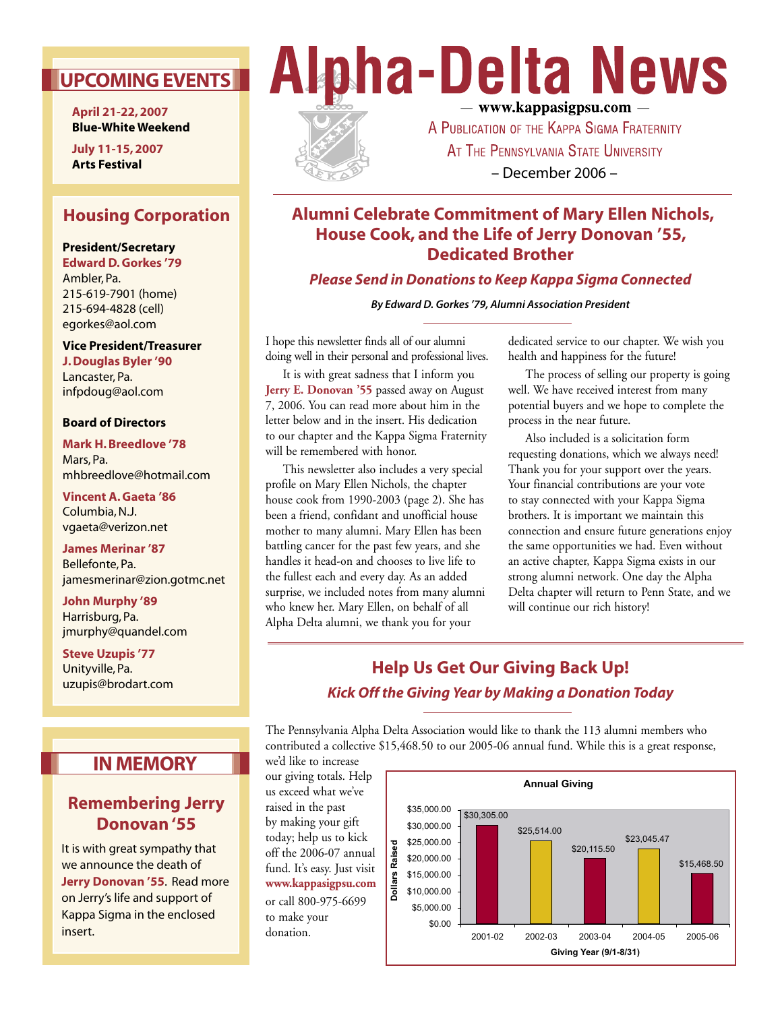# **UPCOMING EVENTS**

**April 21-22, 2007 Blue-White Weekend**

**July 11-15, 2007 Arts Festival**

# **Housing Corporation**

#### **President/Secretary**

**Edward D. Gorkes '79** Ambler, Pa. 215-619-7901 (home) 215-694-4828 (cell) egorkes@aol.com

**Vice President/Treasurer J. Douglas Byler '90** Lancaster, Pa. infpdoug@aol.com

#### **Board of Directors**

**Mark H. Breedlove '78** Mars, Pa. mhbreedlove@hotmail.com

**Vincent A. Gaeta '86** Columbia, N.J. vgaeta@verizon.net

**James Merinar '87** Bellefonte, Pa. jamesmerinar@zion.gotmc.net

**John Murphy '89** Harrisburg, Pa. jmurphy@quandel.com

**Steve Uzupis '77** Unityville, Pa. uzupis@brodart.com

# **IN MEMORY**

# **Remembering Jerry Donovan '55**

It is with great sympathy that we announce the death of **Jerry Donovan '55**. Read more on Jerry's life and support of Kappa Sigma in the enclosed insert.

# **Alpha-Delta News** - www.kappasigpsu.com -



# A PUBLICATION OF THE KAPPA SIGMA FRATERNITY AT THE PENNSYLVANIA STATE UNIVERSITY – December 2006 –

# **Alumni Celebrate Commitment of Mary Ellen Nichols, House Cook, and the Life of Jerry Donovan '55, Dedicated Brother**

*Please Send in Donations to Keep Kappa Sigma Connected*

**By Edward D. Gorkes '79, Alumni Association President**

I hope this newsletter finds all of our alumni doing well in their personal and professional lives.

 It is with great sadness that I inform you **Jerry E. Donovan '55** passed away on August 7, 2006. You can read more about him in the letter below and in the insert. His dedication to our chapter and the Kappa Sigma Fraternity will be remembered with honor.

 This newsletter also includes a very special profile on Mary Ellen Nichols, the chapter house cook from 1990-2003 (page 2). She has been a friend, confidant and unofficial house mother to many alumni. Mary Ellen has been battling cancer for the past few years, and she handles it head-on and chooses to live life to the fullest each and every day. As an added surprise, we included notes from many alumni who knew her. Mary Ellen, on behalf of all Alpha Delta alumni, we thank you for your

dedicated service to our chapter. We wish you health and happiness for the future!

 The process of selling our property is going well. We have received interest from many potential buyers and we hope to complete the process in the near future.

 Also included is a solicitation form requesting donations, which we always need! Thank you for your support over the years. Your financial contributions are your vote to stay connected with your Kappa Sigma brothers. It is important we maintain this connection and ensure future generations enjoy the same opportunities we had. Even without an active chapter, Kappa Sigma exists in our strong alumni network. One day the Alpha Delta chapter will return to Penn State, and we will continue our rich history!

# **Help Us Get Our Giving Back Up!** *Kick Off the Giving Year by Making a Donation Today*

The Pennsylvania Alpha Delta Association would like to thank the 113 alumni members who contributed a collective \$15,468.50 to our 2005-06 annual fund. While this is a great response,

we'd like to increase our giving totals. Help us exceed what we've raised in the past by making your gift today; help us to kick off the 2006-07 annual fund. It's easy. Just visit **www.kappasigpsu.com** or call 800-975-6699 to make your donation.

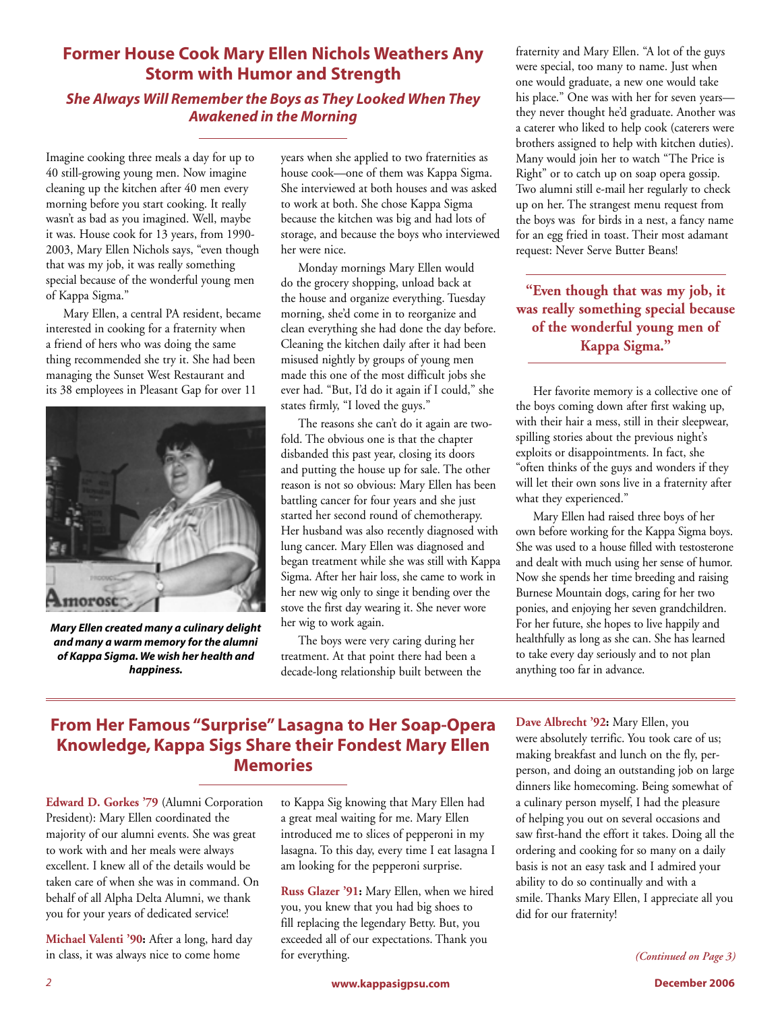# **Former House Cook Mary Ellen Nichols Weathers Any Storm with Humor and Strength**

### *She Always Will Remember the Boys as They Looked When They Awakened in the Morning*

Imagine cooking three meals a day for up to 40 still-growing young men. Now imagine cleaning up the kitchen after 40 men every morning before you start cooking. It really wasn't as bad as you imagined. Well, maybe it was. House cook for 13 years, from 1990- 2003, Mary Ellen Nichols says, "even though that was my job, it was really something special because of the wonderful young men of Kappa Sigma."

 Mary Ellen, a central PA resident, became interested in cooking for a fraternity when a friend of hers who was doing the same thing recommended she try it. She had been managing the Sunset West Restaurant and its 38 employees in Pleasant Gap for over 11



*Mary Ellen created many a culinary delight and many a warm memory for the alumni of Kappa Sigma. We wish her health and happiness.*

years when she applied to two fraternities as house cook—one of them was Kappa Sigma. She interviewed at both houses and was asked to work at both. She chose Kappa Sigma because the kitchen was big and had lots of storage, and because the boys who interviewed her were nice.

 Monday mornings Mary Ellen would do the grocery shopping, unload back at the house and organize everything. Tuesday morning, she'd come in to reorganize and clean everything she had done the day before. Cleaning the kitchen daily after it had been misused nightly by groups of young men made this one of the most difficult jobs she ever had. "But, I'd do it again if I could," she states firmly, "I loved the guys."

 The reasons she can't do it again are twofold. The obvious one is that the chapter disbanded this past year, closing its doors and putting the house up for sale. The other reason is not so obvious: Mary Ellen has been battling cancer for four years and she just started her second round of chemotherapy. Her husband was also recently diagnosed with lung cancer. Mary Ellen was diagnosed and began treatment while she was still with Kappa Sigma. After her hair loss, she came to work in her new wig only to singe it bending over the stove the first day wearing it. She never wore her wig to work again.

 The boys were very caring during her treatment. At that point there had been a decade-long relationship built between the fraternity and Mary Ellen. "A lot of the guys were special, too many to name. Just when one would graduate, a new one would take his place." One was with her for seven years they never thought he'd graduate. Another was a caterer who liked to help cook (caterers were brothers assigned to help with kitchen duties). Many would join her to watch "The Price is Right" or to catch up on soap opera gossip. Two alumni still e-mail her regularly to check up on her. The strangest menu request from the boys was for birds in a nest, a fancy name for an egg fried in toast. Their most adamant request: Never Serve Butter Beans!

**"Even though that was my job, it was really something special because of the wonderful young men of Kappa Sigma."**

 Her favorite memory is a collective one of the boys coming down after first waking up, with their hair a mess, still in their sleepwear, spilling stories about the previous night's exploits or disappointments. In fact, she "often thinks of the guys and wonders if they will let their own sons live in a fraternity after what they experienced."

 Mary Ellen had raised three boys of her own before working for the Kappa Sigma boys. She was used to a house filled with testosterone and dealt with much using her sense of humor. Now she spends her time breeding and raising Burnese Mountain dogs, caring for her two ponies, and enjoying her seven grandchildren. For her future, she hopes to live happily and healthfully as long as she can. She has learned to take every day seriously and to not plan anything too far in advance.

# **From Her Famous "Surprise" Lasagna to Her Soap-Opera Knowledge, Kappa Sigs Share their Fondest Mary Ellen Memories**

**Edward D. Gorkes '79** (Alumni Corporation President): Mary Ellen coordinated the majority of our alumni events. She was great to work with and her meals were always excellent. I knew all of the details would be taken care of when she was in command. On behalf of all Alpha Delta Alumni, we thank you for your years of dedicated service!

**Michael Valenti '90:** After a long, hard day in class, it was always nice to come home

to Kappa Sig knowing that Mary Ellen had a great meal waiting for me. Mary Ellen introduced me to slices of pepperoni in my lasagna. To this day, every time I eat lasagna I am looking for the pepperoni surprise.

**Russ Glazer '91:** Mary Ellen, when we hired you, you knew that you had big shoes to fill replacing the legendary Betty. But, you exceeded all of our expectations. Thank you for everything.

**Dave Albrecht '92:** Mary Ellen, you were absolutely terrific. You took care of us; making breakfast and lunch on the fly, perperson, and doing an outstanding job on large dinners like homecoming. Being somewhat of a culinary person myself, I had the pleasure of helping you out on several occasions and saw first-hand the effort it takes. Doing all the ordering and cooking for so many on a daily basis is not an easy task and I admired your ability to do so continually and with a smile. Thanks Mary Ellen, I appreciate all you did for our fraternity!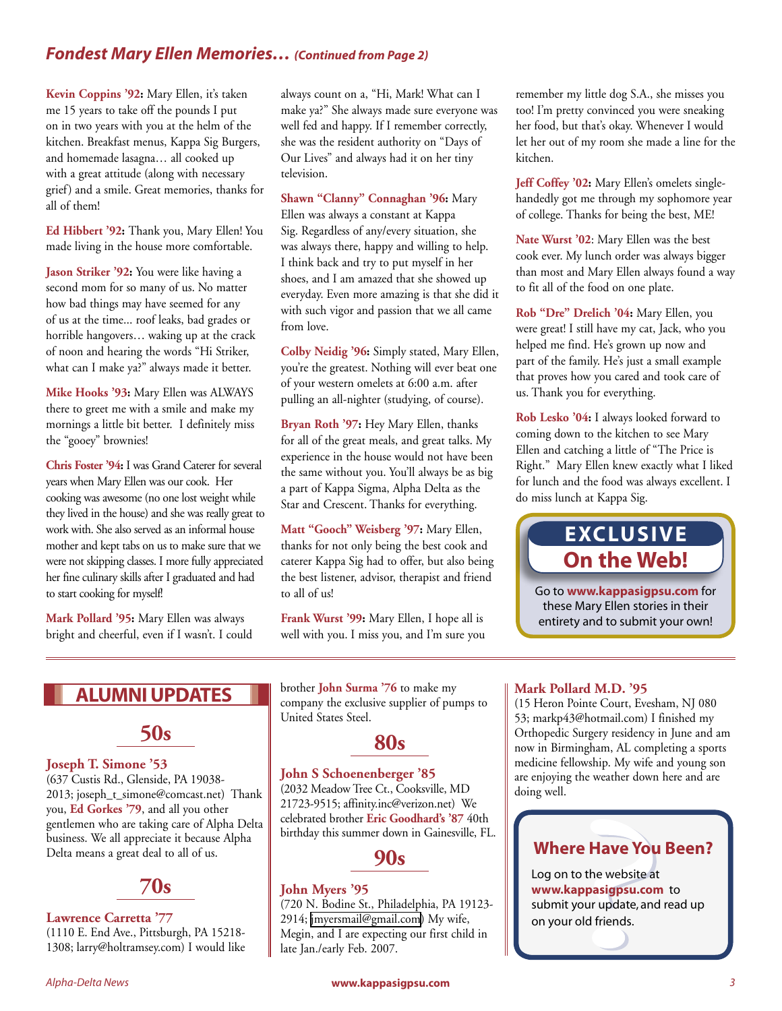### *Fondest Mary Ellen Memories… (Continued from Page 2)*

**Kevin Coppins '92:** Mary Ellen, it's taken me 15 years to take off the pounds I put on in two years with you at the helm of the kitchen. Breakfast menus, Kappa Sig Burgers, and homemade lasagna… all cooked up with a great attitude (along with necessary grief) and a smile. Great memories, thanks for all of them!

**Ed Hibbert '92:** Thank you, Mary Ellen! You made living in the house more comfortable.

Jason Striker '92: You were like having a second mom for so many of us. No matter how bad things may have seemed for any of us at the time... roof leaks, bad grades or horrible hangovers… waking up at the crack of noon and hearing the words "Hi Striker, what can I make ya?" always made it better.

**Mike Hooks '93:** Mary Ellen was ALWAYS there to greet me with a smile and make my mornings a little bit better. I definitely miss the "gooey" brownies!

**Chris Foster '94:** I was Grand Caterer for several years when Mary Ellen was our cook. Her cooking was awesome (no one lost weight while they lived in the house) and she was really great to work with. She also served as an informal house mother and kept tabs on us to make sure that we were not skipping classes. I more fully appreciated her fine culinary skills after I graduated and had to start cooking for myself!

**Mark Pollard '95:** Mary Ellen was always bright and cheerful, even if I wasn't. I could always count on a, "Hi, Mark! What can I make ya?" She always made sure everyone was well fed and happy. If I remember correctly, she was the resident authority on "Days of Our Lives" and always had it on her tiny television.

**Shawn "Clanny" Connaghan '96:** Mary Ellen was always a constant at Kappa Sig. Regardless of any/every situation, she was always there, happy and willing to help. I think back and try to put myself in her shoes, and I am amazed that she showed up everyday. Even more amazing is that she did it with such vigor and passion that we all came from love.

**Colby Neidig '96:** Simply stated, Mary Ellen, you're the greatest. Nothing will ever beat one of your western omelets at 6:00 a.m. after pulling an all-nighter (studying, of course).

**Bryan Roth '97:** Hey Mary Ellen, thanks for all of the great meals, and great talks. My experience in the house would not have been the same without you. You'll always be as big a part of Kappa Sigma, Alpha Delta as the Star and Crescent. Thanks for everything.

**Matt "Gooch" Weisberg '97:** Mary Ellen, thanks for not only being the best cook and caterer Kappa Sig had to offer, but also being the best listener, advisor, therapist and friend to all of us!

**Frank Wurst '99:** Mary Ellen, I hope all is well with you. I miss you, and I'm sure you remember my little dog S.A., she misses you too! I'm pretty convinced you were sneaking her food, but that's okay. Whenever I would let her out of my room she made a line for the kitchen.

**Jeff Coffey '02:** Mary Ellen's omelets singlehandedly got me through my sophomore year of college. Thanks for being the best, ME!

**Nate Wurst '02**: Mary Ellen was the best cook ever. My lunch order was always bigger than most and Mary Ellen always found a way to fit all of the food on one plate.

**Rob "Dre" Drelich '04:** Mary Ellen, you were great! I still have my cat, Jack, who you helped me find. He's grown up now and part of the family. He's just a small example that proves how you cared and took care of us. Thank you for everything.

**Rob Lesko '04:** I always looked forward to coming down to the kitchen to see Mary Ellen and catching a little of "The Price is Right." Mary Ellen knew exactly what I liked for lunch and the food was always excellent. I do miss lunch at Kappa Sig.

# **EXCLUSIVE On the Web!**

Go to **www.kappasigpsu.com** for these Mary Ellen stories in their entirety and to submit your own!

# **ALUMNI UPDATES**



#### **Joseph T. Simone '53**

(637 Custis Rd., Glenside, PA 19038- 2013; joseph\_t\_simone@comcast.net) Thank you, **Ed Gorkes '79**, and all you other gentlemen who are taking care of Alpha Delta business. We all appreciate it because Alpha Delta means a great deal to all of us.



#### **Lawrence Carretta '77**

(1110 E. End Ave., Pittsburgh, PA 15218- 1308; larry@holtramsey.com) I would like brother **John Surma '76** to make my company the exclusive supplier of pumps to United States Steel.

# **80s**

#### **John S Schoenenberger '85**

(2032 Meadow Tree Ct., Cooksville, MD 21723-9515; affinity.inc@verizon.net) We celebrated brother **Eric Goodhard's '87** 40th birthday this summer down in Gainesville, FL.

**90s**

#### **John Myers '95**

(720 N. Bodine St., Philadelphia, PA 19123- 2914; [jmyersmail@gmail.com](mailto:jmyersmail@gmail.com)) My wife, Megin, and I are expecting our first child in late Jan./early Feb. 2007.

#### **Mark Pollard M.D. '95**

(15 Heron Pointe Court, Evesham, NJ 080 53; markp43@hotmail.com) I finished my Orthopedic Surgery residency in June and am now in Birmingham, AL completing a sports medicine fellowship. My wife and young son are enjoying the weather down here and are doing well.

# **Where Have You Been?**

Log on to the website at **www.kappasigpsu.com** to submit your update, and read up on your old friends.